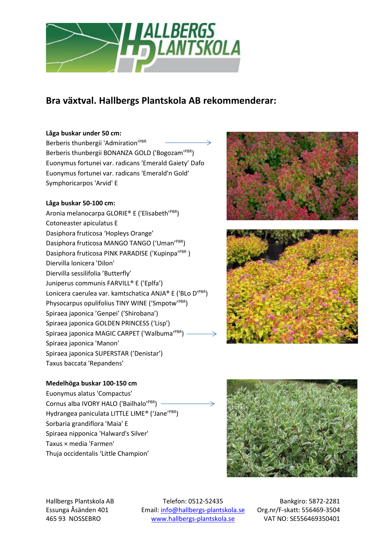

# **Bra växtval. Hallbergs Plantskola AB rekommenderar:**

## **Låga buskar under 50 cm:**

Berberis thunbergii 'Admiration'<sup>PBR</sup> Berberis thunbergii BONANZA GOLD ('Bogozam'<sup>PBR</sup>) Euonymus fortunei var. radicans 'Emerald Gaiety' Dafo Euonymus fortunei var. radicans 'Emerald'n Gold' Symphoricarpos 'Arvid' E

# **Låga buskar 50-100 cm:**

Aronia melanocarpa GLORIE® E ('Elisabeth'PBR) Cotoneaster apiculatus E Dasiphora fruticosa 'Hopleys Orange' Dasiphora fruticosa MANGO TANGO ('Uman'<sup>PBR</sup>) Dasiphora fruticosa PINK PARADISE ('Kupinpa'PBR) Diervilla lonicera 'Dilon' Diervilla sessilifolia 'Butterfly' Juniperus communis FARVILL® E ('Eplfa') Lonicera caerulea var. kamtschatica ANJA® E ('BLo D'PBR) Physocarpus opulifolius TINY WINE ('Smpotw'PBR) Spiraea japonica 'Genpei' ('Shirobana') Spiraea japonica GOLDEN PRINCESS ('Lisp') Spiraea japonica MAGIC CARPET ('Walbuma'PBR) Spiraea japonica 'Manon' Spiraea japonica SUPERSTAR ('Denistar') Taxus baccata 'Repandens'

## **Medelhöga buskar 100-150 cm**

Euonymus alatus 'Compactus' Cornus alba IVORY HALO ('Bailhalo'<sup>PBR</sup>) Hydrangea paniculata LITTLE LIME® ('Jane'PBR) Sorbaria grandiflora 'Maia' E Spiraea nipponica 'Halward's Silver' Taxus × media 'Farmen' Thuja occidentalis 'Little Champion'



Hallbergs Plantskola AB Telefon: 0512-52435 Bankgiro: 5872-2281 Essunga Åsänden 401 Email: [info@hallbergs-plantskola.se](mailto:info@hallbergs-plantskola.se) Org.nr/F-skatt: 556469-3504 465 93 NOSSEBRO [www.hallbergs-plantskola.se](http://www.hallbergs-plantskola.se/) VAT NO: SE556469350401